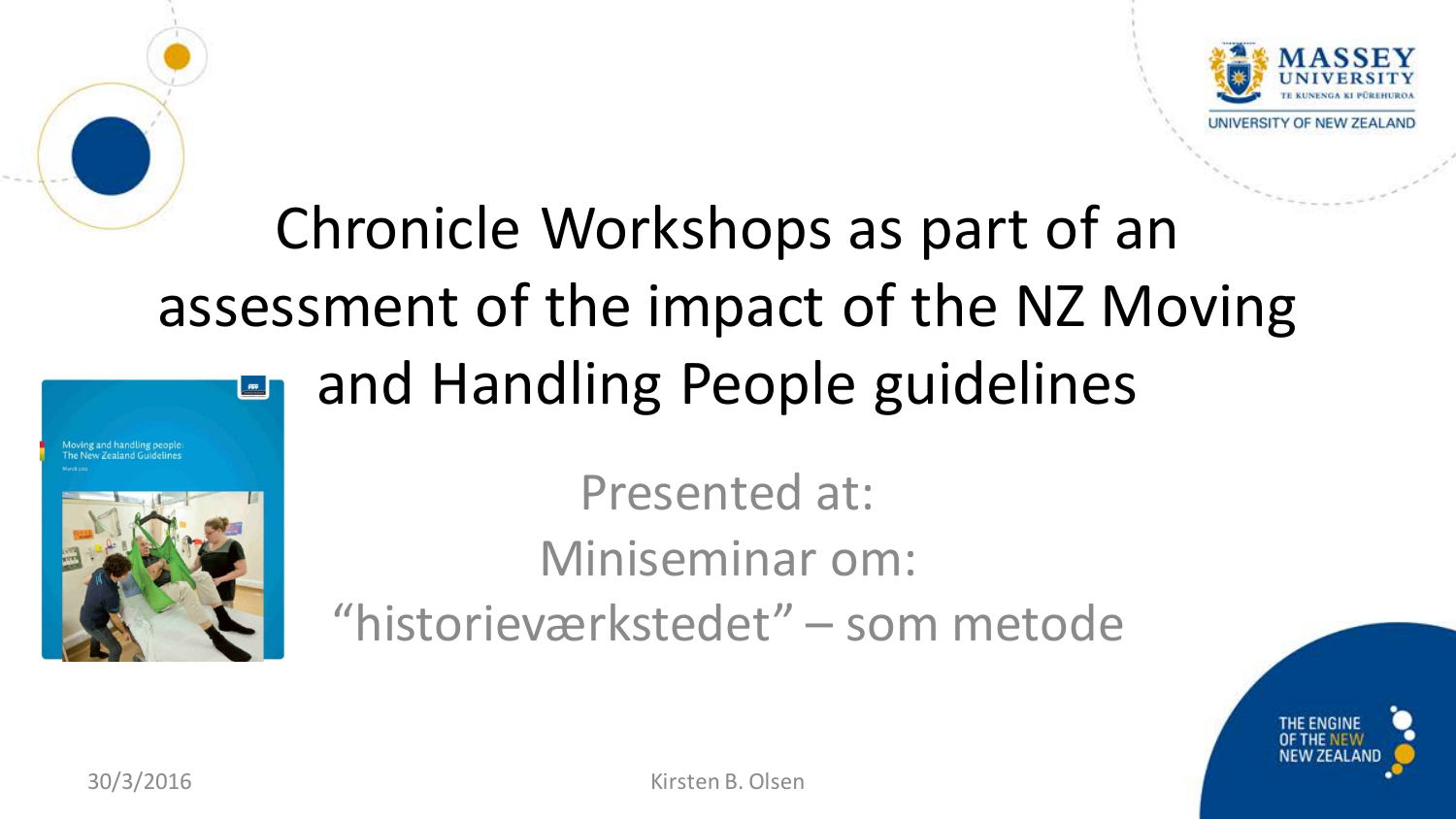

#### Chronicle Workshops as part of an assessment of the impact of the NZ Moving and Handling People guidelines





Presented at: Miniseminar om: "historieværkstedet" – som metode

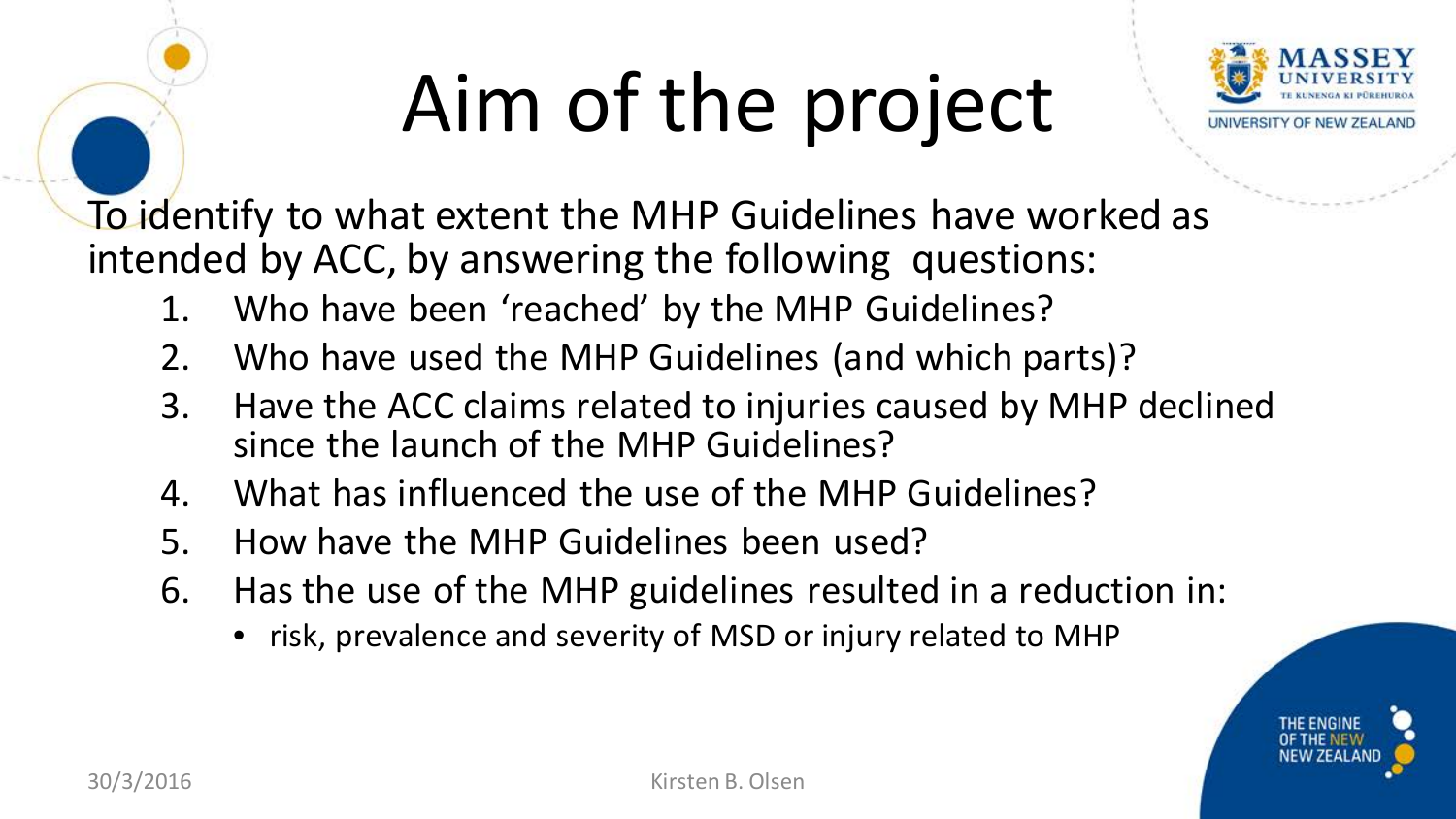# Aim of the project



To identify to what extent the MHP Guidelines have worked as intended by ACC, by answering the following questions:

- 1. Who have been 'reached' by the MHP Guidelines?
- 2. Who have used the MHP Guidelines (and which parts)?
- 3. Have the ACC claims related to injuries caused by MHP declined since the launch of the MHP Guidelines?
- 4. What has influenced the use of the MHP Guidelines?
- 5. How have the MHP Guidelines been used?
- 6. Has the use of the MHP guidelines resulted in a reduction in:
	- risk, prevalence and severity of MSD or injury related to MHP

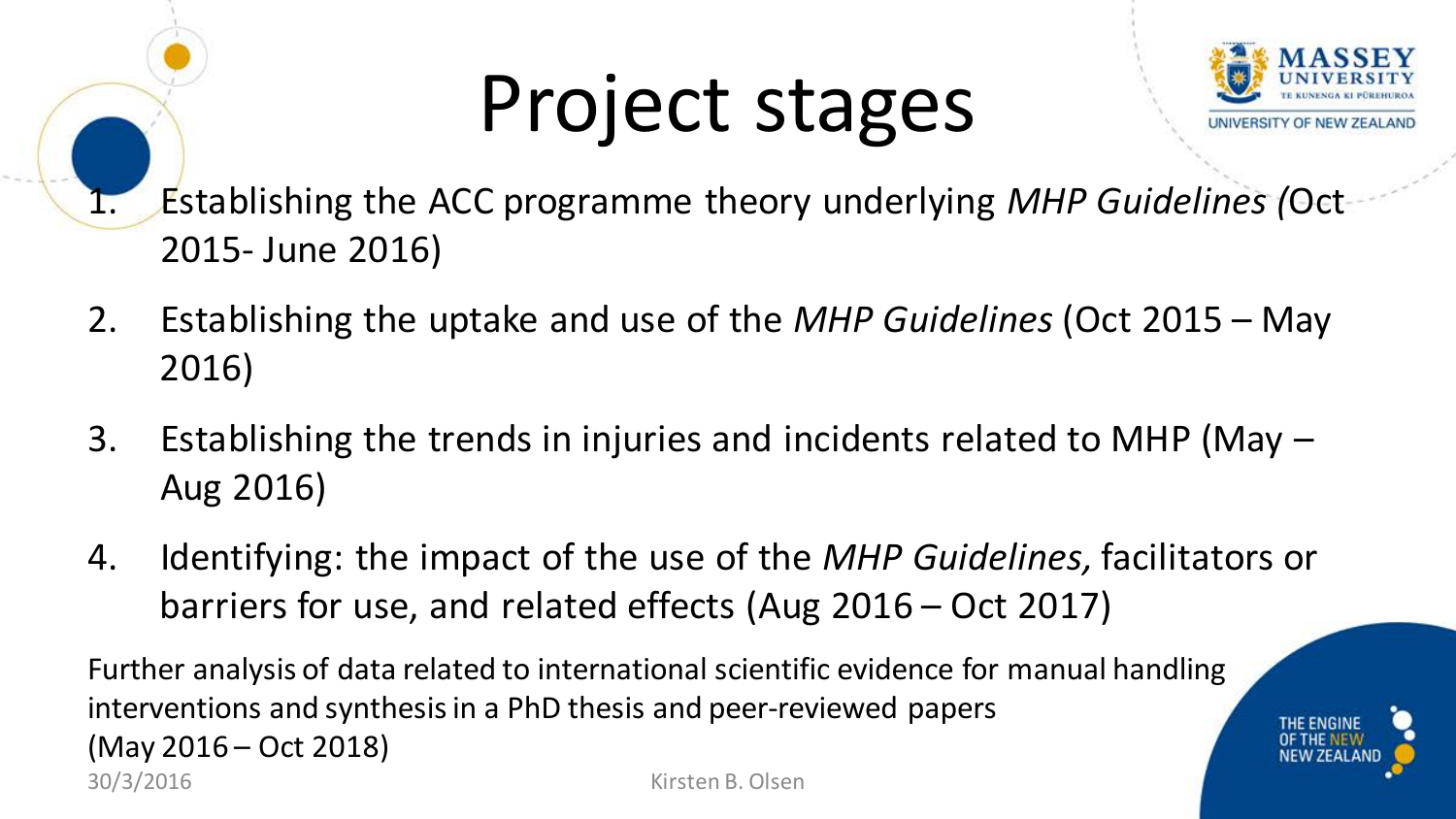## Project stages



1. Establishing the ACC programme theory underlying *MHP Guidelines (*Oct 2015- June 2016)

- 2. Establishing the uptake and use of the *MHP Guidelines* (Oct 2015 May 2016)
- 3. Establishing the trends in injuries and incidents related to MHP (May Aug 2016)
- 4. Identifying: the impact of the use of the *MHP Guidelines,* facilitators or barriers for use, and related effects (Aug 2016 – Oct 2017)

Further analysis of data related to international scientific evidence for manual handling interventions and synthesis in a PhD thesis and peer-reviewed papers (May 2016 – Oct 2018) 30/3/2016 Kirsten B. Olsen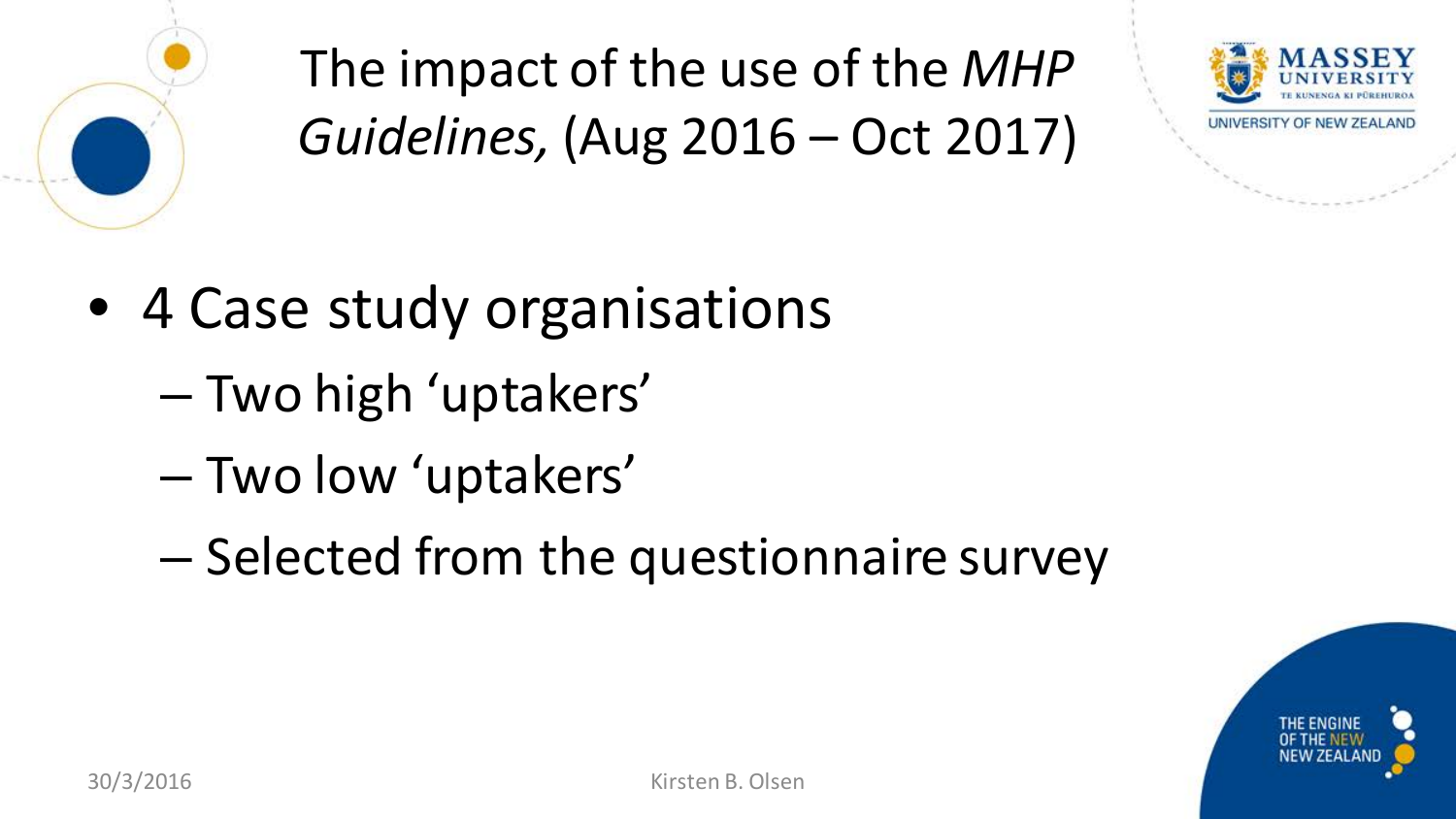

The impact of the use of the *MHP Guidelines,* (Aug 2016 – Oct 2017)



- 4 Case study organisations
	- Two high 'uptakers'
	- Two low 'uptakers'
	- Selected from the questionnaire survey

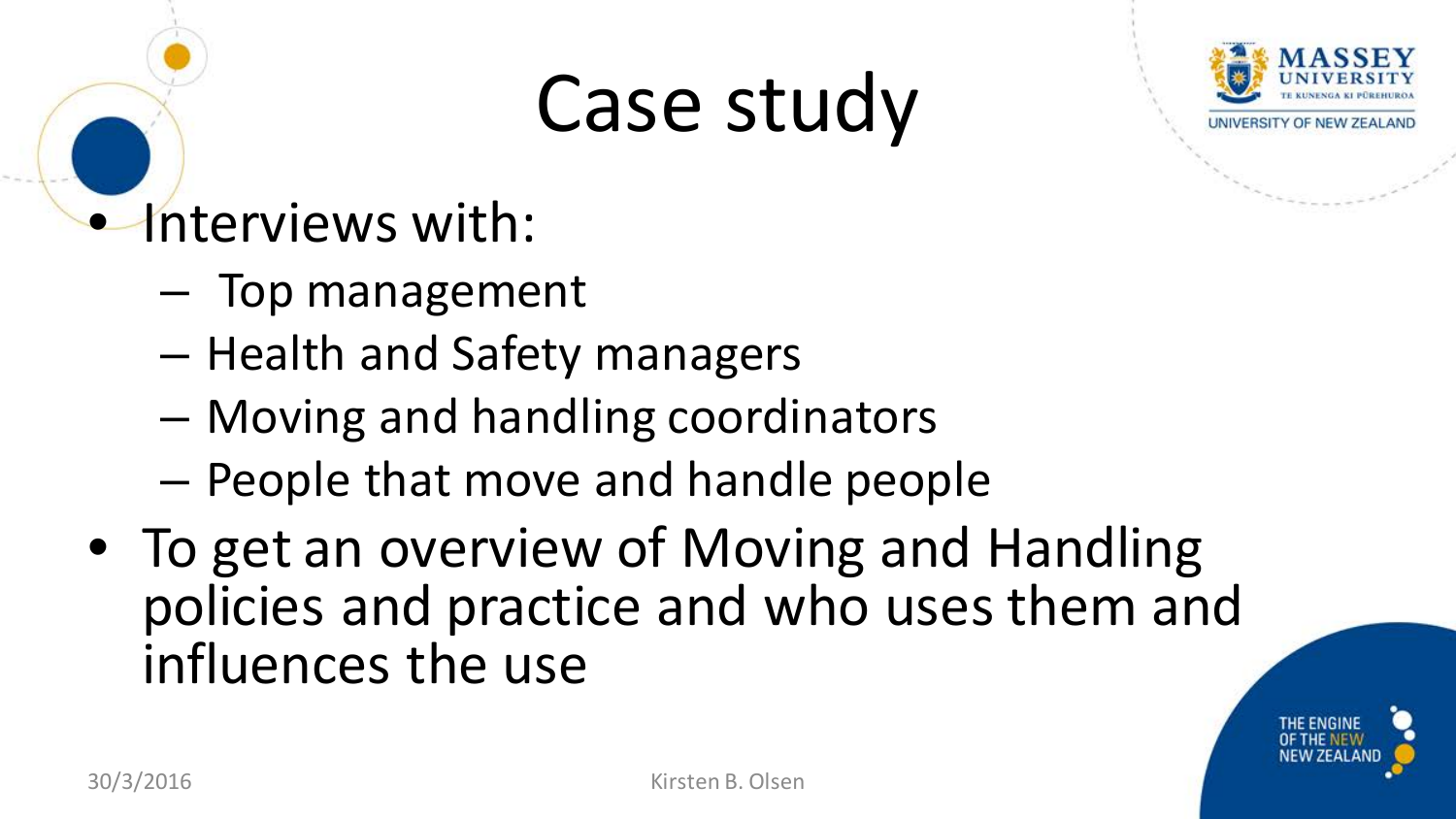## Case study



### • Interviews with:

- Top management
- Health and Safety managers
- Moving and handling coordinators
- People that move and handle people
- To get an overview of Moving and Handling policies and practice and who uses them and influences the use

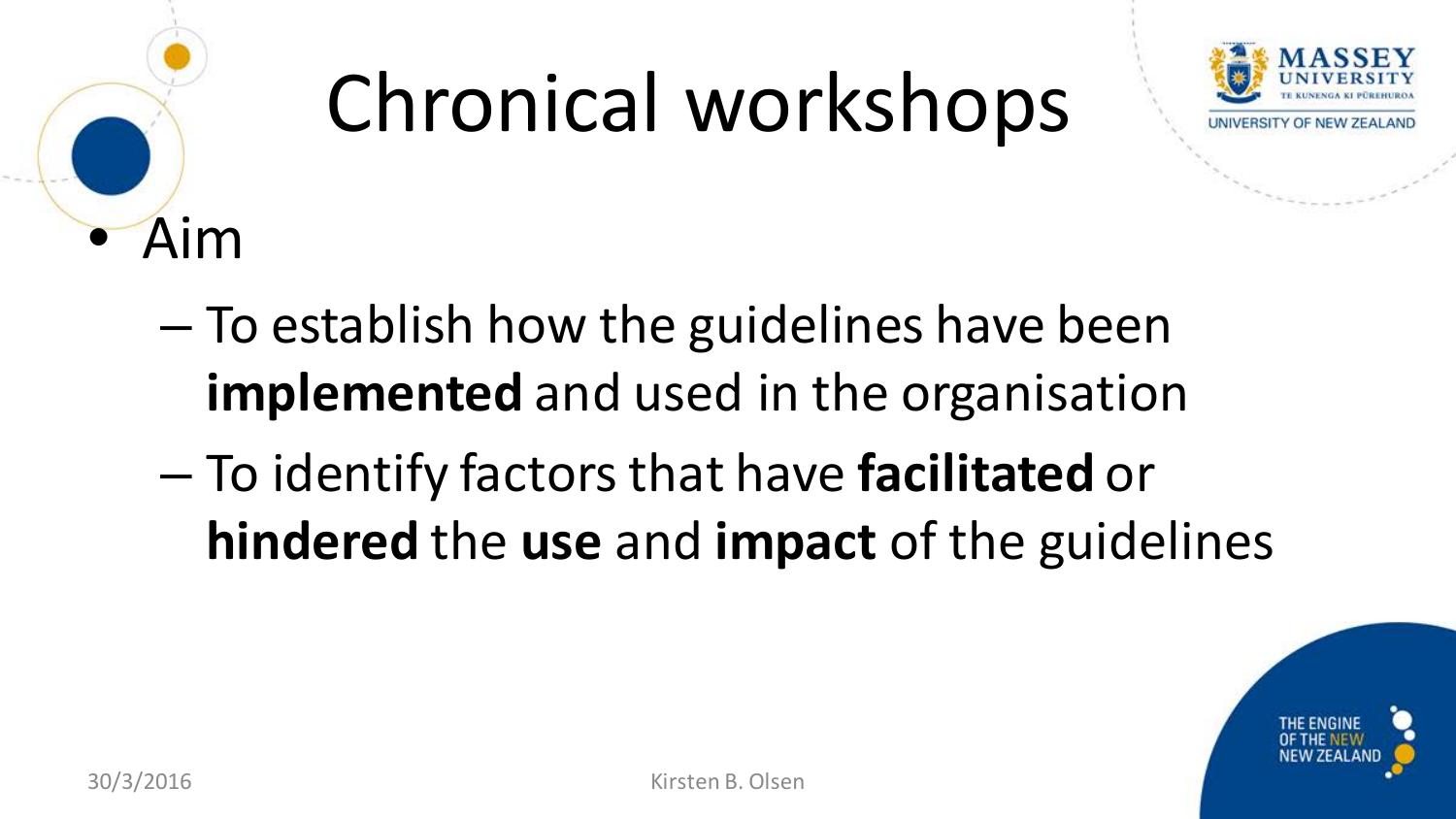

# Chronical workshops



- To establish how the guidelines have been **implemented** and used in the organisation
- To identify factors that have **facilitated** or **hindered** the **use** and **impact** of the guidelines

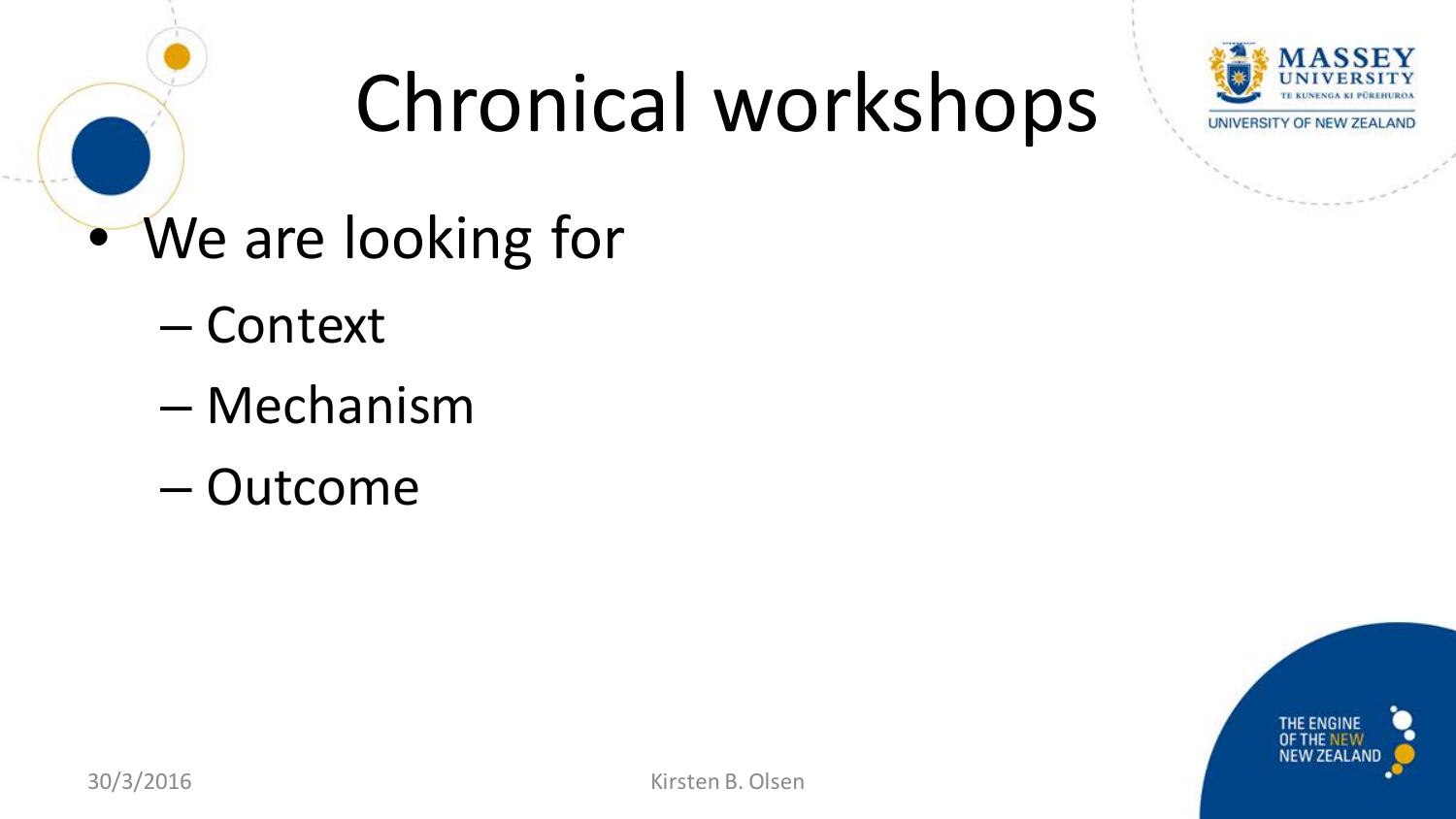

## Chronical workshops

- We are looking for
	- Context
	- Mechanism
	- Outcome

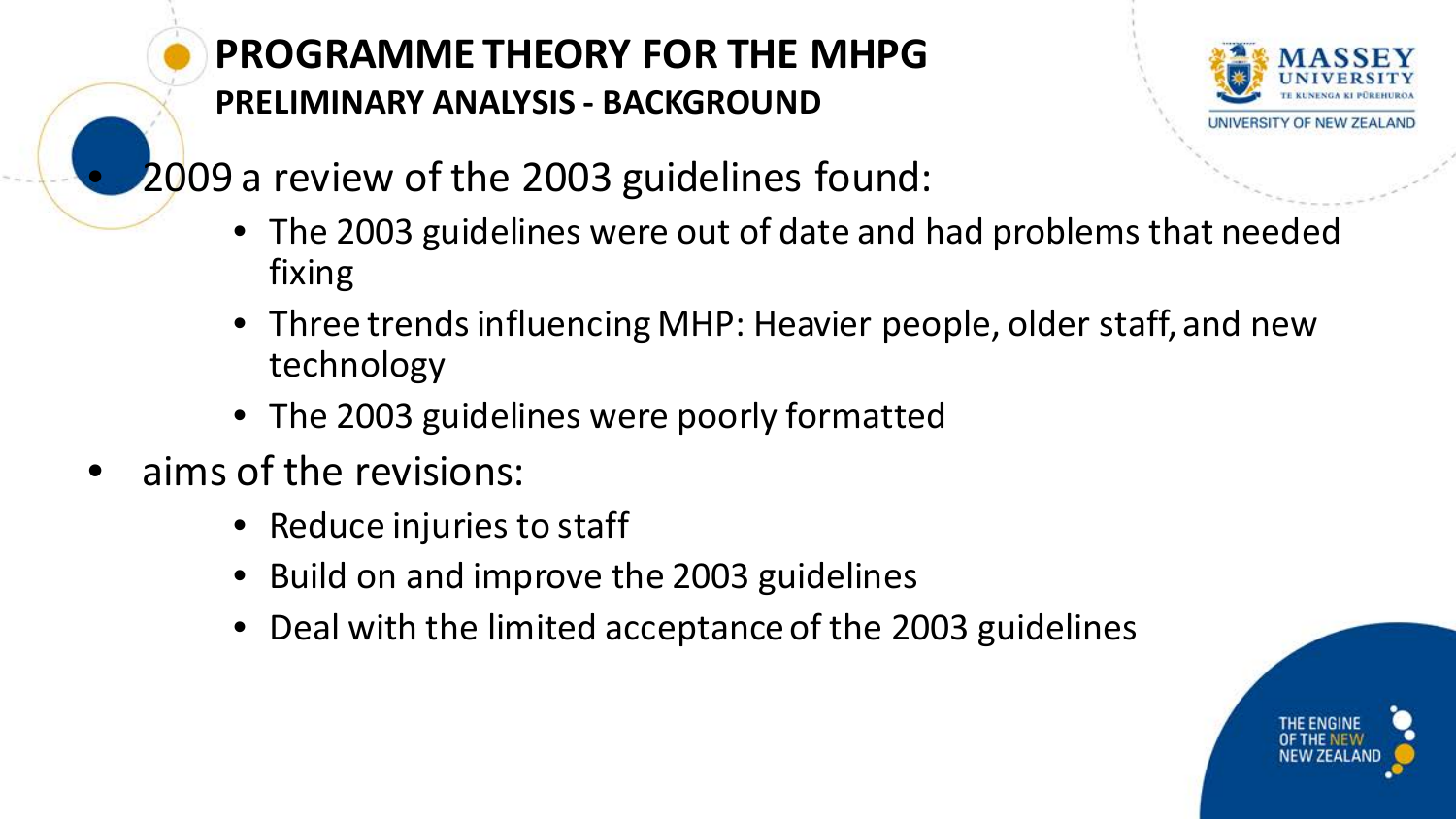#### **PROGRAMME THEORY FOR THE MHPG PRELIMINARY ANALYSIS - BACKGROUND**



- 2009 a review of the 2003 guidelines found:
	- The 2003 guidelines were out of date and had problems that needed fixing
	- Three trends influencing MHP: Heavier people, older staff, and new technology
	- The 2003 guidelines were poorly formatted
- aims of the revisions:
	- Reduce injuries to staff
	- Build on and improve the 2003 guidelines
	- Deal with the limited acceptance of the 2003 guidelines

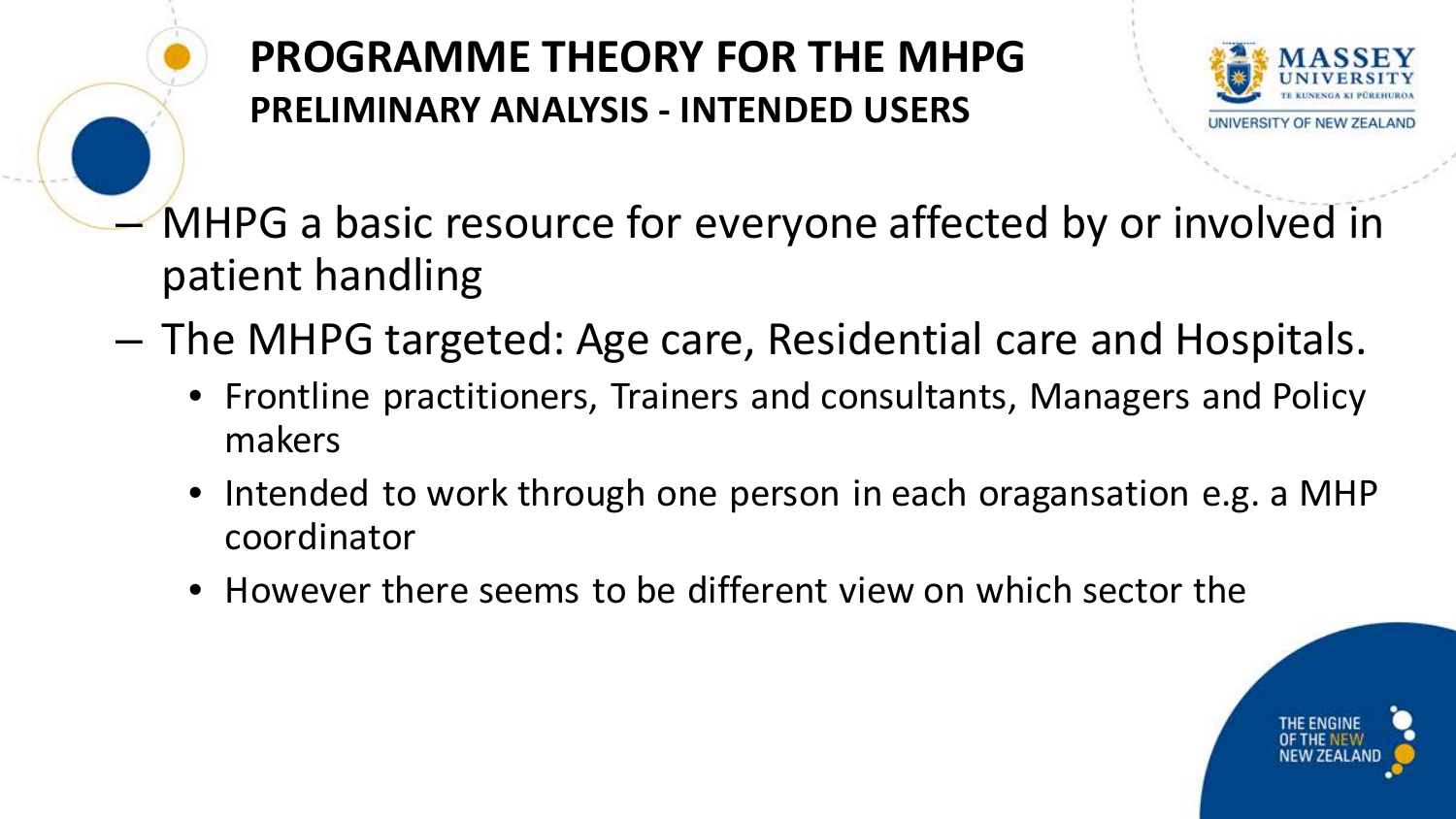**PROGRAMME THEORY FOR THE MHPG PRELIMINARY ANALYSIS - INTENDED USERS**



- MHPG a basic resource for everyone affected by or involved in patient handling
- The MHPG targeted: Age care, Residential care and Hospitals.
	- Frontline practitioners, Trainers and consultants, Managers and Policy makers
	- Intended to work through one person in each oragansation e.g. a MHP coordinator
	- However there seems to be different view on which sector the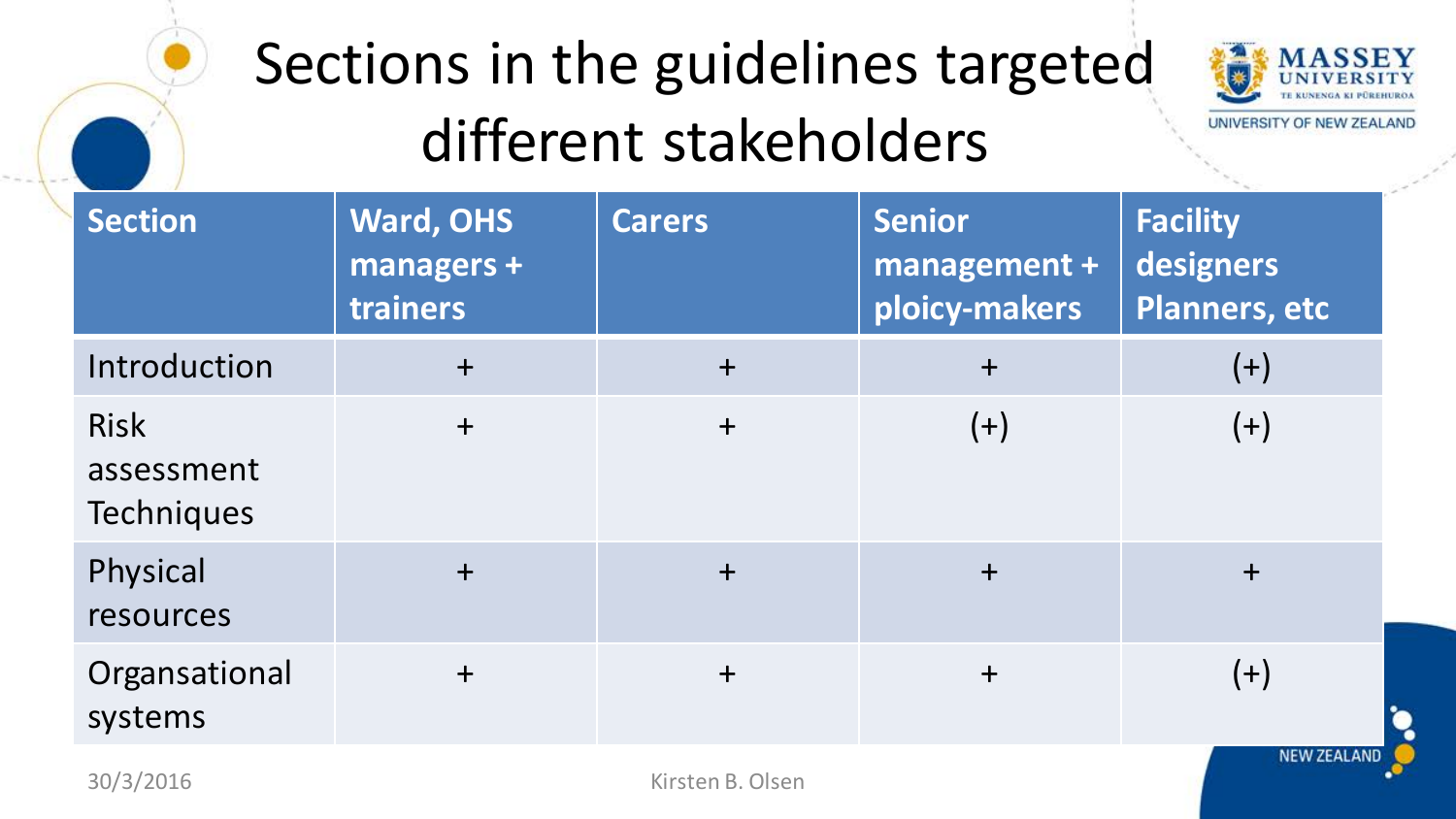## Sections in the guidelines targeted different stakeholders



UNIVERSITY OF NEW ZEALAND

| <b>Section</b>                                 | <b>Ward, OHS</b><br>managers +<br>trainers | <b>Carers</b> | <b>Senior</b><br>management +<br>ploicy-makers | <b>Facility</b><br>designers<br><b>Planners, etc</b> |
|------------------------------------------------|--------------------------------------------|---------------|------------------------------------------------|------------------------------------------------------|
| Introduction                                   | $+$                                        | $+$           | $+$                                            | $(+)$                                                |
| <b>Risk</b><br>assessment<br><b>Techniques</b> | $\ddagger$                                 | $+$           | $(+)$                                          | $(+)$                                                |
| Physical<br>resources                          | $+$                                        | $+$           | $+$                                            | $+$                                                  |
| Organsational<br>systems                       | $+$                                        | $+$           | $+$                                            | $(+)$<br>NEW ZEALAND                                 |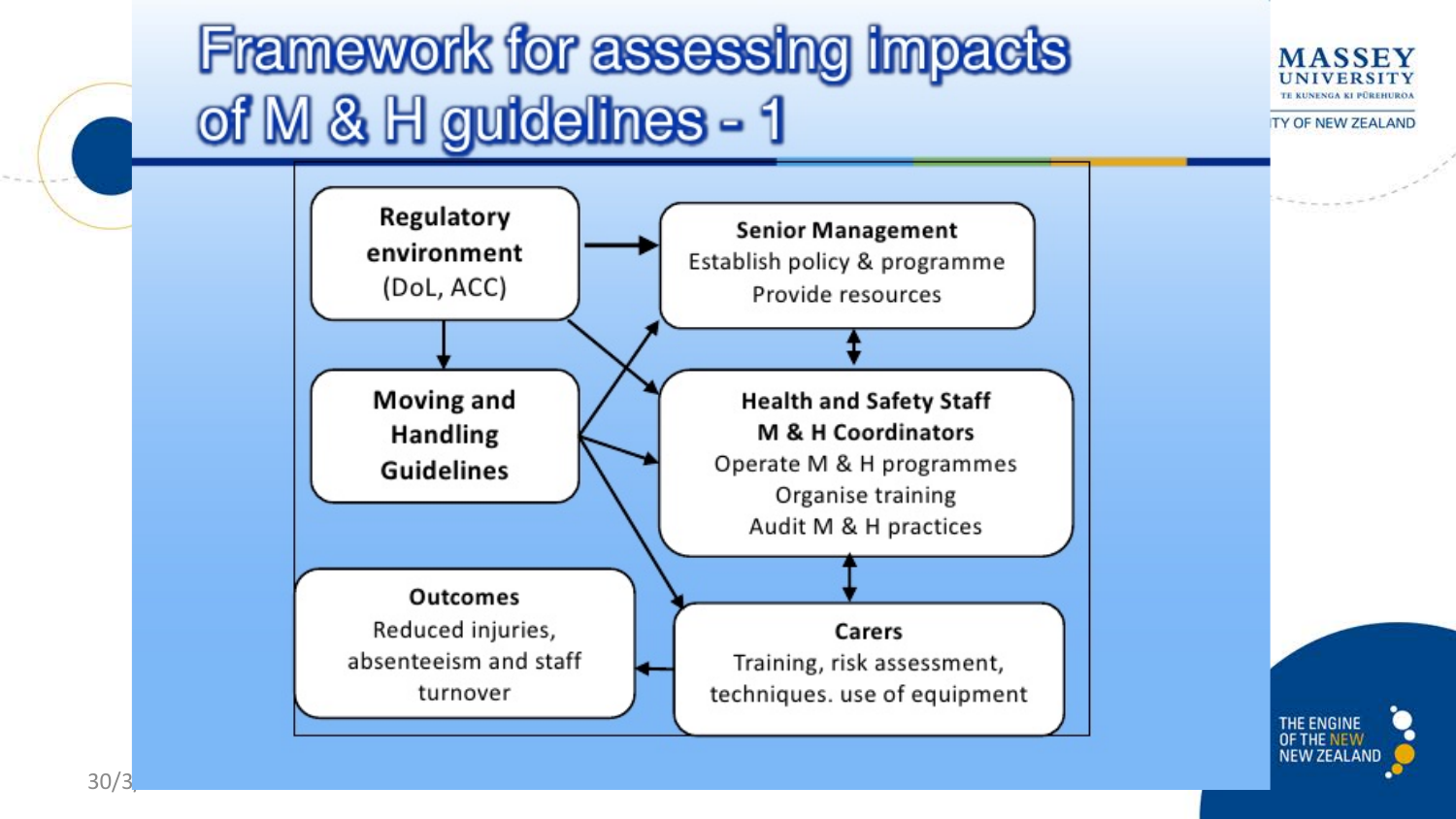### **Framework for assessing impacts** of M & H guidelines - 1



TY OF NEW ZEALAND



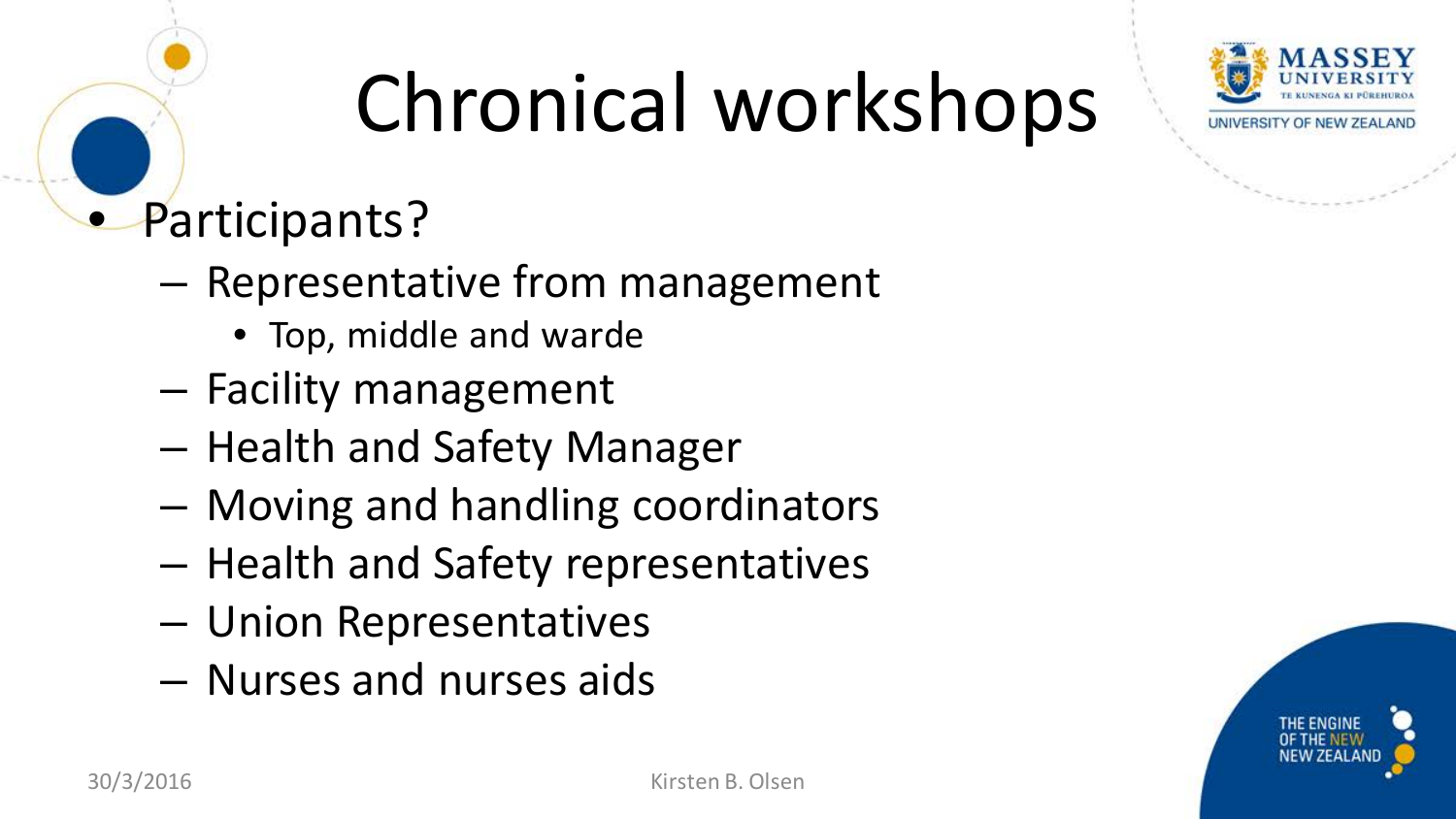

# Chronical workshops

### • Participants?

- Representative from management
	- Top, middle and warde
- Facility management
- Health and Safety Manager
- Moving and handling coordinators
- Health and Safety representatives
- Union Representatives
- Nurses and nurses aids

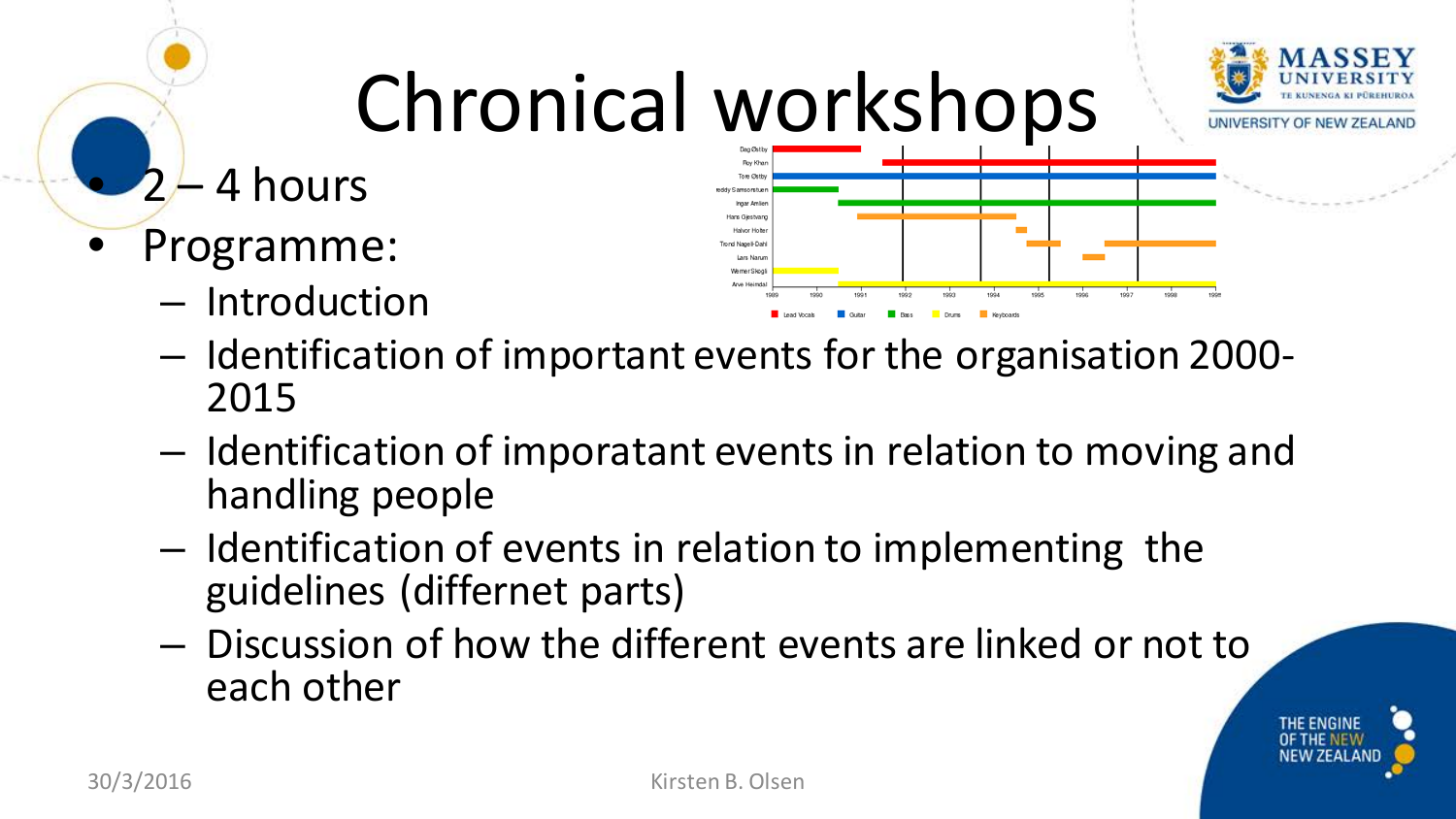

- Identification of important events for the organisation 2000- <sup>2015</sup>
- Identification of imporatant events in relation to moving and handling people
- Identification of events in relation to implementing the guidelines (differnet parts)
- Discussion of how the different events are linked or not to each other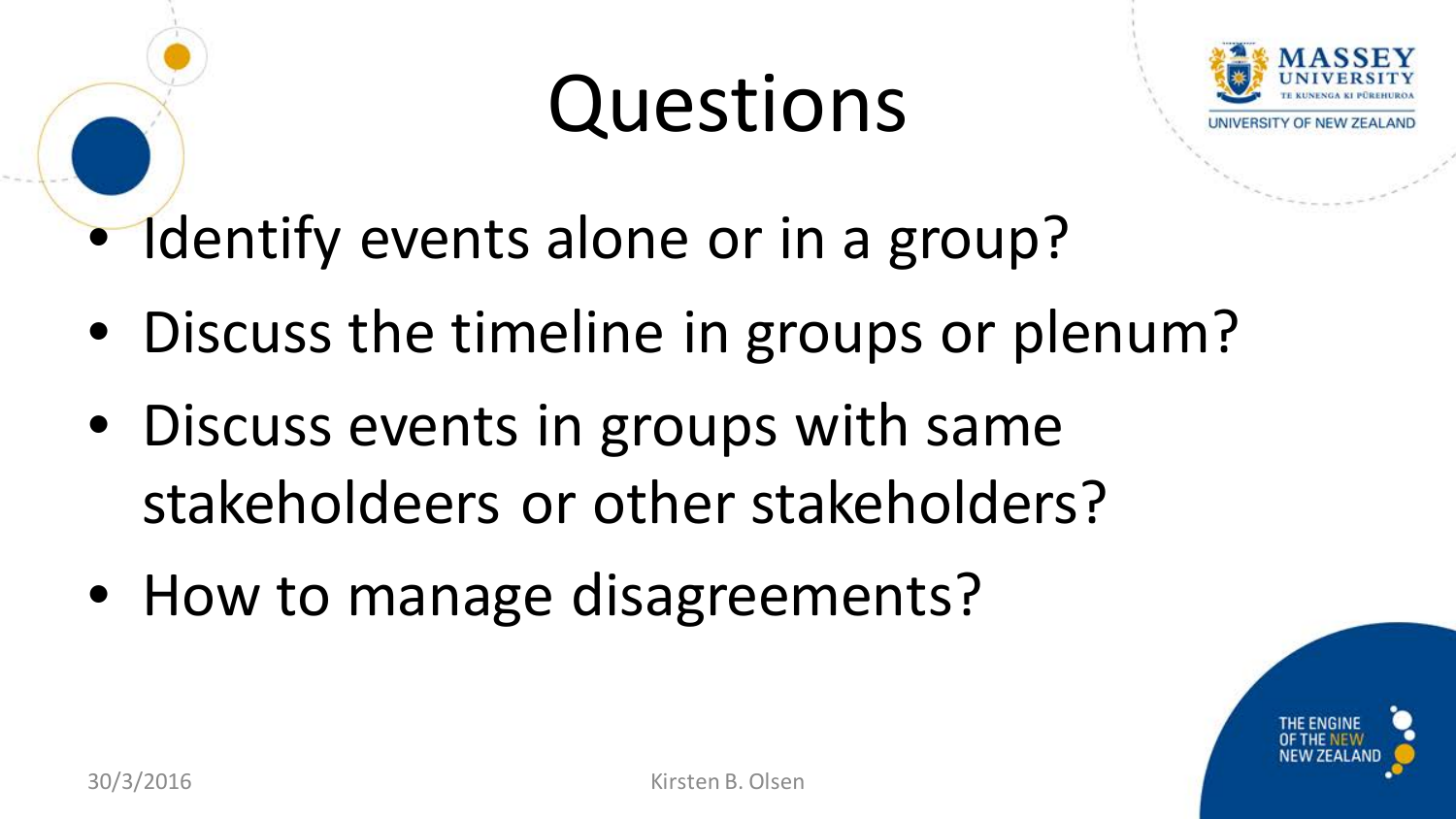## Questions



Identify events alone or in a group?

- Discuss the timeline in groups or plenum?
- Discuss events in groups with same stakeholdeers or other stakeholders?
- How to manage disagreements?